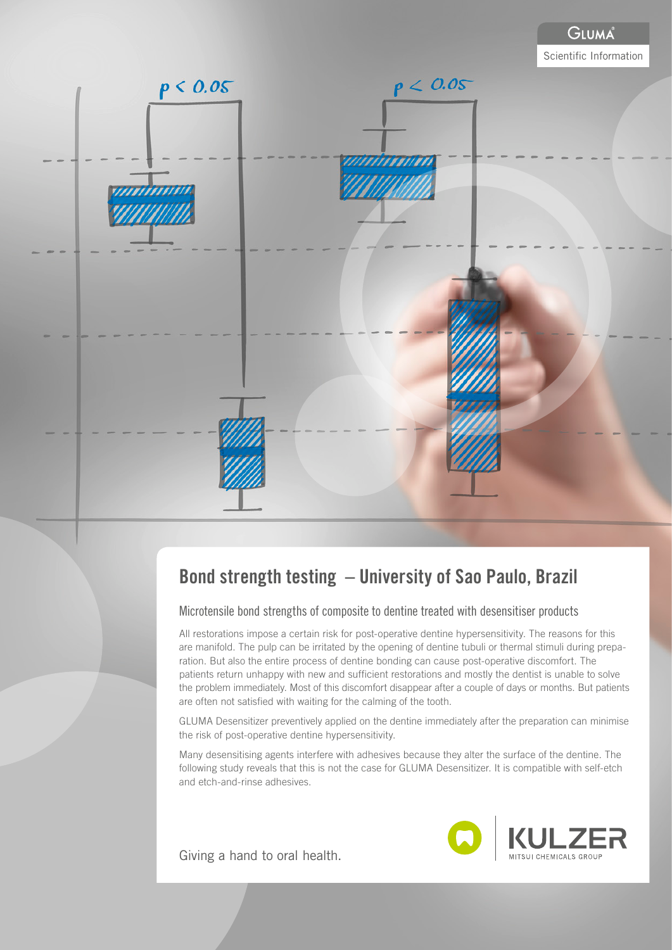

# Bond strength testing – University of Sao Paulo, Brazil

Microtensile bond strengths of composite to dentine treated with desensitiser products

All restorations impose a certain risk for post-operative dentine hypersensitivity. The reasons for this are manifold. The pulp can be irritated by the opening of dentine tubuli or thermal stimuli during preparation. But also the entire process of dentine bonding can cause post-operative discomfort. The patients return unhappy with new and sufficient restorations and mostly the dentist is unable to solve the problem immediately. Most of this discomfort disappear after a couple of days or months. But patients are often not satisfied with waiting for the calming of the tooth.

GLUMA Desensitizer preventively applied on the dentine immediately after the preparation can minimise the risk of post-operative dentine hypersensitivity.

Many desensitising agents interfere with adhesives because they alter the surface of the dentine. The following study reveals that this is not the case for GLUMA Desensitizer. It is compatible with self-etch and etch-and-rinse adhesives.

Giving a hand to oral health.